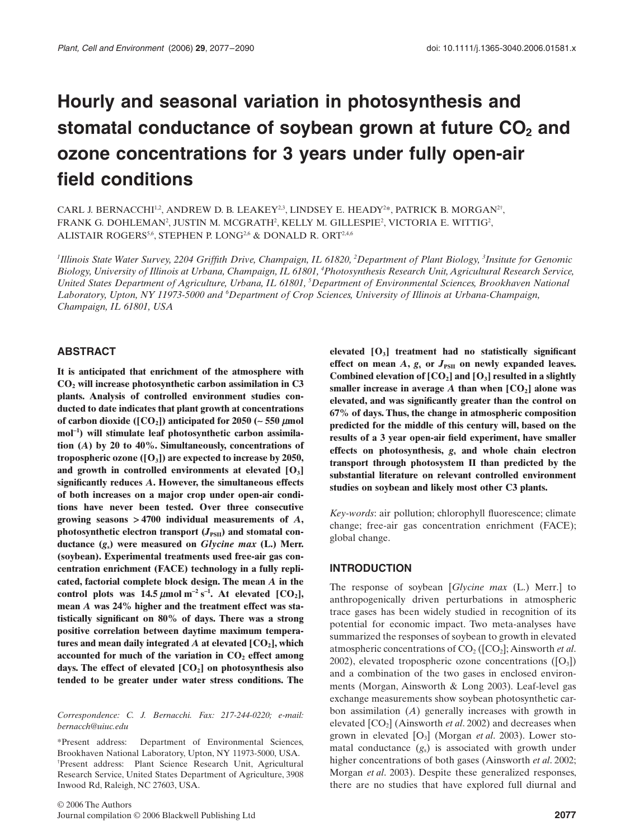# **Hourly and seasonal variation in photosynthesis and**  stomatal conductance of soybean grown at future CO<sub>2</sub> and **ozone concentrations for 3 years under fully open-air field conditions**

CARL J. BERNACCHI $^{1,2}$ , ANDREW D. B. LEAKEY<sup>2,3</sup>, LINDSEY E. HEADY<sup>2\*</sup>, PATRICK B. MORGAN<sup>2†</sup>, FRANK G. DOHLEMAN<sup>2</sup>, JUSTIN M. MCGRATH $^2$ , KELLY M. GILLESPIE $^2$ , VICTORIA E. WITTIG $^2$ , ALISTAIR ROGERS<sup>5,6</sup>, STEPHEN P. LONG<sup>2,6</sup> & DONALD R. ORT<sup>2,4,6</sup>

*1 Illinois State Water Survey, 2204 Griffith Drive, Champaign, IL 61820, 2 Department of Plant Biology, 3 Insitute for Genomic Biology, University of Illinois at Urbana, Champaign, IL 61801, 4 Photosynthesis Research Unit, Agricultural Research Service, United States Department of Agriculture, Urbana, IL 61801, 5 Department of Environmental Sciences, Brookhaven National*  Laboratory, Upton, NY 11973-5000 and <sup>6</sup>Department of Crop Sciences, University of Illinois at Urbana-Champaign, *Champaign, IL 61801, USA*

#### **ABSTRACT**

**It is anticipated that enrichment of the atmosphere with CO2 will increase photosynthetic carbon assimilation in C3 plants. Analysis of controlled environment studies conducted to date indicates that plant growth at concentrations of carbon dioxide ([CO<sub>2</sub>]) anticipated for 2050 (** $\sim$  **550**  $\mu$ **mol mol**-**<sup>1</sup> ) will stimulate leaf photosynthetic carbon assimilation (***A***) by 20 to 40%. Simultaneously, concentrations of tropospheric ozone ([O3]) are expected to increase by 2050, and growth in controlled environments at elevated [O3] significantly reduces** *A***. However, the simultaneous effects of both increases on a major crop under open-air conditions have never been tested. Over three consecutive growing seasons** > **4700 individual measurements of** *A***,** photosynthetic electron transport  $(J_{PSII})$  and stomatal con**ductance (***g***s) were measured on** *Glycine max* **(L.) Merr. (soybean). Experimental treatments used free-air gas concentration enrichment (FACE) technology in a fully replicated, factorial complete block design. The mean** *A* **in the** control plots was  $14.5 \mu$ mol m<sup>-2</sup> s<sup>-1</sup>. At elevated [CO<sub>2</sub>], **mean** *A* **was 24% higher and the treatment effect was statistically significant on 80% of days. There was a strong positive correlation between daytime maximum tempera**tures and mean daily integrated  $\vec{A}$  at elevated  $[CO_2]$ , which accounted for much of the variation in CO<sub>2</sub> effect among **days. The effect of elevated [CO2] on photosynthesis also tended to be greater under water stress conditions. The**

*Correspondence: C. J. Bernacchi. Fax: 217-244-0220; e-mail: bernacch@uiuc.edu*

\*Present address: Department of Environmental Sciences, Brookhaven National Laboratory, Upton, NY 11973-5000, USA. † Present address: Plant Science Research Unit, Agricultural Research Service, United States Department of Agriculture, 3908 Inwood Rd, Raleigh, NC 27603, USA.

**elevated [O3] treatment had no statistically significant** effect on mean  $A$ ,  $g_s$  or  $J_{PSII}$  on newly expanded leaves. Combined elevation of  $[CO_2]$  and  $[O_3]$  resulted in a slightly smaller increase in average  $\overline{A}$  than when  $[CO_2]$  alone was **elevated, and was significantly greater than the control on 67% of days. Thus, the change in atmospheric composition predicted for the middle of this century will, based on the results of a 3 year open-air field experiment, have smaller effects on photosynthesis,** *g***<sup>s</sup> and whole chain electron transport through photosystem II than predicted by the substantial literature on relevant controlled environment studies on soybean and likely most other C3 plants.**

*Key-words*: air pollution; chlorophyll fluorescence; climate change; free-air gas concentration enrichment (FACE); global change.

#### **INTRODUCTION**

The response of soybean [*Glycine max* (L.) Merr.] to anthropogenically driven perturbations in atmospheric trace gases has been widely studied in recognition of its potential for economic impact. Two meta-analyses have summarized the responses of soybean to growth in elevated atmospheric concentrations of CO<sub>2</sub> ([CO<sub>2</sub>]; Ainsworth *et al.* 2002), elevated tropospheric ozone concentrations  $([O_3])$ and a combination of the two gases in enclosed environments (Morgan, Ainsworth & Long 2003). Leaf-level gas exchange measurements show soybean photosynthetic carbon assimilation (*A*) generally increases with growth in elevated  $[CO<sub>2</sub>]$  (Ainsworth *et al.* 2002) and decreases when grown in elevated [O3] (Morgan *et al*. 2003). Lower stomatal conductance  $(g_s)$  is associated with growth under higher concentrations of both gases (Ainsworth *et al*. 2002; Morgan *et al*. 2003). Despite these generalized responses, there are no studies that have explored full diurnal and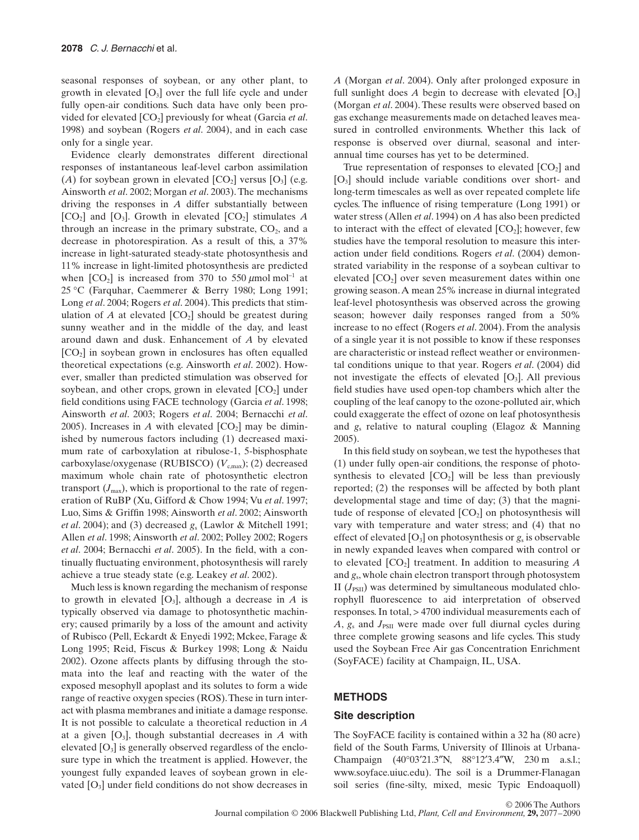seasonal responses of soybean, or any other plant, to growth in elevated  $[O_3]$  over the full life cycle and under fully open-air conditions. Such data have only been provided for elevated  $[CO_2]$  previously for wheat (Garcia *et al.*) 1998) and soybean (Rogers *et al*. 2004), and in each case only for a single year.

Evidence clearly demonstrates different directional responses of instantaneous leaf-level carbon assimilation (*A*) for soybean grown in elevated  $[CO_2]$  versus  $[O_3]$  (e.g. Ainsworth *et al*. 2002; Morgan *et al*. 2003). The mechanisms driving the responses in *A* differ substantially between  $[CO_2]$  and  $[O_3]$ . Growth in elevated  $[CO_2]$  stimulates *A* through an increase in the primary substrate,  $CO<sub>2</sub>$ , and a decrease in photorespiration. As a result of this, a 37% increase in light-saturated steady-state photosynthesis and 11% increase in light-limited photosynthesis are predicted when  $[CO_2]$  is increased from 370 to 550 µmol mol<sup>-1</sup> at 25 °C (Farquhar, Caemmerer & Berry 1980; Long 1991; Long *et al*. 2004; Rogers *et al*. 2004). This predicts that stimulation of  $A$  at elevated  $[CO_2]$  should be greatest during sunny weather and in the middle of the day, and least around dawn and dusk. Enhancement of *A* by elevated  $[CO<sub>2</sub>]$  in soybean grown in enclosures has often equalled theoretical expectations (e.g. Ainsworth *et al*. 2002). However, smaller than predicted stimulation was observed for soybean, and other crops, grown in elevated  $[CO<sub>2</sub>]$  under field conditions using FACE technology (Garcia *et al*. 1998; Ainsworth *et al*. 2003; Rogers *et al*. 2004; Bernacchi *et al*. 2005). Increases in *A* with elevated  $[CO<sub>2</sub>]$  may be diminished by numerous factors including (1) decreased maximum rate of carboxylation at ribulose-1, 5-bisphosphate carboxylase/oxygenase (RUBISCO) ( $V_{\text{c,max}}$ ); (2) decreased maximum whole chain rate of photosynthetic electron transport  $(J_{\text{max}})$ , which is proportional to the rate of regeneration of RuBP (Xu, Gifford & Chow 1994; Vu *et al*. 1997; Luo, Sims & Griffin 1998; Ainsworth *et al*. 2002; Ainsworth *et al*. 2004); and (3) decreased *g*<sup>s</sup> (Lawlor & Mitchell 1991; Allen *et al*. 1998; Ainsworth *et al*. 2002; Polley 2002; Rogers *et al*. 2004; Bernacchi *et al*. 2005). In the field, with a continually fluctuating environment, photosynthesis will rarely achieve a true steady state (e.g. Leakey *et al*. 2002).

Much less is known regarding the mechanism of response to growth in elevated  $[O_3]$ , although a decrease in *A* is typically observed via damage to photosynthetic machinery; caused primarily by a loss of the amount and activity of Rubisco (Pell, Eckardt & Enyedi 1992; Mckee, Farage & Long 1995; Reid, Fiscus & Burkey 1998; Long & Naidu 2002). Ozone affects plants by diffusing through the stomata into the leaf and reacting with the water of the exposed mesophyll apoplast and its solutes to form a wide range of reactive oxygen species (ROS). These in turn interact with plasma membranes and initiate a damage response. It is not possible to calculate a theoretical reduction in *A* at a given  $[O_3]$ , though substantial decreases in *A* with elevated  $[O_3]$  is generally observed regardless of the enclosure type in which the treatment is applied. However, the youngest fully expanded leaves of soybean grown in elevated  $[O_3]$  under field conditions do not show decreases in *A* (Morgan *et al*. 2004). Only after prolonged exposure in full sunlight does  $A$  begin to decrease with elevated  $[O_3]$ (Morgan *et al*. 2004). These results were observed based on gas exchange measurements made on detached leaves measured in controlled environments. Whether this lack of response is observed over diurnal, seasonal and interannual time courses has yet to be determined.

True representation of responses to elevated  $[CO<sub>2</sub>]$  and  $[O_3]$  should include variable conditions over short- and long-term timescales as well as over repeated complete life cycles. The influence of rising temperature (Long 1991) or water stress (Allen *et al*. 1994) on *A* has also been predicted to interact with the effect of elevated  $[CO_2]$ ; however, few studies have the temporal resolution to measure this interaction under field conditions. Rogers *et al*. (2004) demonstrated variability in the response of a soybean cultivar to elevated  $[CO<sub>2</sub>]$  over seven measurement dates within one growing season. A mean 25% increase in diurnal integrated leaf-level photosynthesis was observed across the growing season; however daily responses ranged from a 50% increase to no effect (Rogers *et al*. 2004). From the analysis of a single year it is not possible to know if these responses are characteristic or instead reflect weather or environmental conditions unique to that year. Rogers *et al*. (2004) did not investigate the effects of elevated  $[O_3]$ . All previous field studies have used open-top chambers which alter the coupling of the leaf canopy to the ozone-polluted air, which could exaggerate the effect of ozone on leaf photosynthesis and *g*<sup>s</sup> relative to natural coupling (Elagoz & Manning 2005).

In this field study on soybean, we test the hypotheses that (1) under fully open-air conditions, the response of photosynthesis to elevated  $[CO_2]$  will be less than previously reported; (2) the responses will be affected by both plant developmental stage and time of day; (3) that the magnitude of response of elevated  $[CO<sub>2</sub>]$  on photosynthesis will vary with temperature and water stress; and (4) that no effect of elevated  $[O_3]$  on photosynthesis or  $g_s$  is observable in newly expanded leaves when compared with control or to elevated  $[CO_2]$  treatment. In addition to measuring  $A$ and *g*s, whole chain electron transport through photosystem II  $(J_{\text{PSII}})$  was determined by simultaneous modulated chlorophyll fluorescence to aid interpretation of observed responses. In total, > 4700 individual measurements each of *A*,  $g_s$  and  $J_{PSII}$  were made over full diurnal cycles during three complete growing seasons and life cycles. This study used the Soybean Free Air gas Concentration Enrichment (SoyFACE) facility at Champaign, IL, USA.

### **METHODS**

## **Site description**

The SoyFACE facility is contained within a 32 ha (80 acre) field of the South Farms, University of Illinois at Urbana-Champaign (40°03′21.3″N, 88°12′3.4″W, 230 m a.s.l.; www.soyface.uiuc.edu). The soil is a Drummer-Flanagan soil series (fine-silty, mixed, mesic Typic Endoaquoll)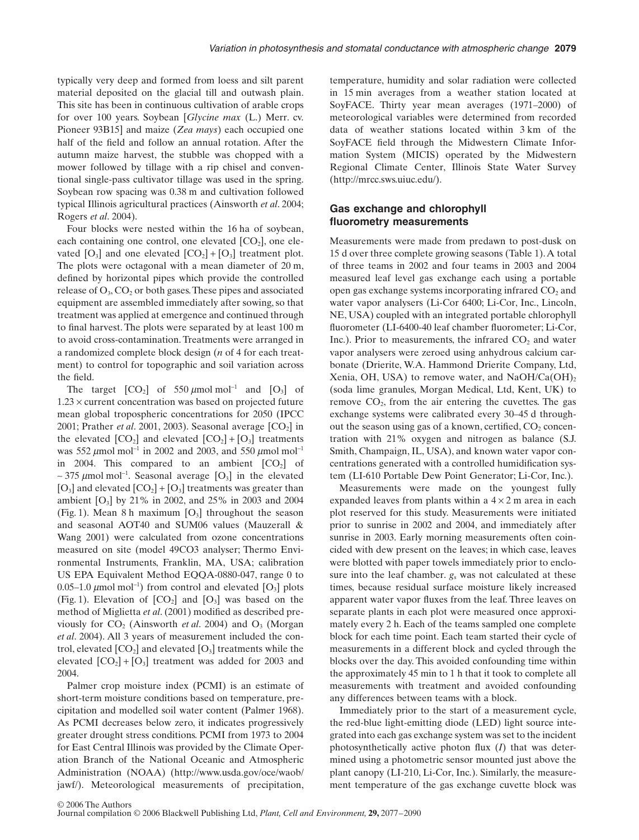typically very deep and formed from loess and silt parent material deposited on the glacial till and outwash plain. This site has been in continuous cultivation of arable crops for over 100 years. Soybean [*Glycine max* (L.) Merr. cv. Pioneer 93B15] and maize (*Zea mays*) each occupied one half of the field and follow an annual rotation. After the autumn maize harvest, the stubble was chopped with a mower followed by tillage with a rip chisel and conventional single-pass cultivator tillage was used in the spring. Soybean row spacing was 0.38 m and cultivation followed typical Illinois agricultural practices (Ainsworth *et al*. 2004; Rogers *et al*. 2004).

Four blocks were nested within the 16 ha of soybean, each containing one control, one elevated  $[CO<sub>2</sub>]$ , one elevated  $[O_3]$  and one elevated  $[CO_2] + [O_3]$  treatment plot. The plots were octagonal with a mean diameter of 20 m, defined by horizontal pipes which provide the controlled release of  $O_3$ ,  $CO_2$  or both gases. These pipes and associated equipment are assembled immediately after sowing, so that treatment was applied at emergence and continued through to final harvest. The plots were separated by at least 100 m to avoid cross-contamination. Treatments were arranged in a randomized complete block design (*n* of 4 for each treatment) to control for topographic and soil variation across the field.

The target  $[CO_2]$  of 550 µmol mol<sup>-1</sup> and  $[O_3]$  of  $1.23 \times$  current concentration was based on projected future mean global tropospheric concentrations for 2050 (IPCC 2001; Prather *et al.* 2001, 2003). Seasonal average [CO<sub>2</sub>] in the elevated  $[CO_2]$  and elevated  $[CO_2] + [O_3]$  treatments was 552  $\mu$ mol mol<sup>-1</sup> in 2002 and 2003, and 550  $\mu$ mol mol<sup>-1</sup> in 2004. This compared to an ambient  $[CO<sub>2</sub>]$  of ~375  $\mu$ mol mol<sup>-1</sup>. Seasonal average [O<sub>3</sub>] in the elevated  $[O_3]$  and elevated  $[CO_2] + [O_3]$  treatments was greater than ambient  $[O_3]$  by 21% in 2002, and 25% in 2003 and 2004 (Fig. 1). Mean 8 h maximum  $[O_3]$  throughout the season and seasonal AOT40 and SUM06 values (Mauzerall & Wang 2001) were calculated from ozone concentrations measured on site (model 49CO3 analyser; Thermo Environmental Instruments, Franklin, MA, USA; calibration US EPA Equivalent Method EQQA-0880-047, range 0 to 0.05–1.0  $\mu$ mol mol<sup>-1</sup>) from control and elevated [O<sub>3</sub>] plots (Fig. 1). Elevation of  $[CO_2]$  and  $[O_3]$  was based on the method of Miglietta *et al*. (2001) modified as described previously for  $CO<sub>2</sub>$  (Ainsworth *et al.* 2004) and  $O<sub>3</sub>$  (Morgan *et al*. 2004). All 3 years of measurement included the control, elevated  $[CO_2]$  and elevated  $[O_3]$  treatments while the elevated  $[CO_2] + [O_3]$  treatment was added for 2003 and 2004.

Palmer crop moisture index (PCMI) is an estimate of short-term moisture conditions based on temperature, precipitation and modelled soil water content (Palmer 1968). As PCMI decreases below zero, it indicates progressively greater drought stress conditions. PCMI from 1973 to 2004 for East Central Illinois was provided by the Climate Operation Branch of the National Oceanic and Atmospheric Administration (NOAA) [\(http://www.usda.gov/oce/waob/](http://www.usda.gov/oce/waob/) jawf/). Meteorological measurements of precipitation, temperature, humidity and solar radiation were collected in 15 min averages from a weather station located at SoyFACE. Thirty year mean averages (1971–2000) of meteorological variables were determined from recorded data of weather stations located within 3 km of the SoyFACE field through the Midwestern Climate Information System (MICIS) operated by the Midwestern Regional Climate Center, Illinois State Water Survey ([http://mrcc.sws.uiuc.edu](http://mrcc.sws.uiuc.edu/)/).

## **Gas exchange and chlorophyll fluorometry measurements**

Measurements were made from predawn to post-dusk on 15 d over three complete growing seasons (Table 1). A total of three teams in 2002 and four teams in 2003 and 2004 measured leaf level gas exchange each using a portable open gas exchange systems incorporating infrared  $CO<sub>2</sub>$  and water vapor analysers (Li-Cor 6400; Li-Cor, Inc., Lincoln, NE, USA) coupled with an integrated portable chlorophyll fluorometer (LI-6400-40 leaf chamber fluorometer; Li-Cor, Inc.). Prior to measurements, the infrared  $CO<sub>2</sub>$  and water vapor analysers were zeroed using anhydrous calcium carbonate (Drierite, W.A. Hammond Drierite Company, Ltd, Xenia, OH, USA) to remove water, and  $NaOH/Ca(OH)_{2}$ (soda lime granules, Morgan Medical, Ltd, Kent, UK) to remove  $CO<sub>2</sub>$ , from the air entering the cuvettes. The gas exchange systems were calibrated every 30–45 d throughout the season using gas of a known, certified,  $CO<sub>2</sub>$  concentration with 21% oxygen and nitrogen as balance (S.J. Smith, Champaign, IL, USA), and known water vapor concentrations generated with a controlled humidification system (LI-610 Portable Dew Point Generator; Li-Cor, Inc.).

Measurements were made on the youngest fully expanded leaves from plants within a  $4 \times 2$  m area in each plot reserved for this study. Measurements were initiated prior to sunrise in 2002 and 2004, and immediately after sunrise in 2003. Early morning measurements often coincided with dew present on the leaves; in which case, leaves were blotted with paper towels immediately prior to enclosure into the leaf chamber.  $g_s$  was not calculated at these times, because residual surface moisture likely increased apparent water vapor fluxes from the leaf. Three leaves on separate plants in each plot were measured once approximately every 2 h. Each of the teams sampled one complete block for each time point. Each team started their cycle of measurements in a different block and cycled through the blocks over the day. This avoided confounding time within the approximately 45 min to 1 h that it took to complete all measurements with treatment and avoided confounding any differences between teams with a block.

Immediately prior to the start of a measurement cycle, the red-blue light-emitting diode (LED) light source integrated into each gas exchange system was set to the incident photosynthetically active photon flux (*I*) that was determined using a photometric sensor mounted just above the plant canopy (LI-210, Li-Cor, Inc.). Similarly, the measurement temperature of the gas exchange cuvette block was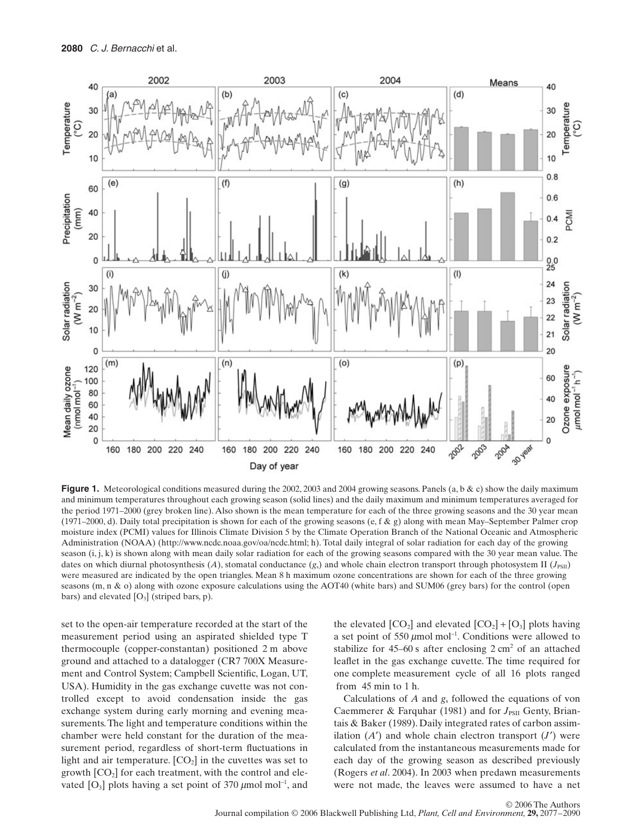

Figure 1. Meteorological conditions measured during the 2002, 2003 and 2004 growing seasons. Panels (a, b & c) show the daily maximum and minimum temperatures throughout each growing season (solid lines) and the daily maximum and minimum temperatures averaged for the period 1971–2000 (grey broken line). Also shown is the mean temperature for each of the three growing seasons and the 30 year mean (1971–2000, d). Daily total precipitation is shown for each of the growing seasons (e, f & g) along with mean May–September Palmer crop moisture index (PCMI) values for Illinois Climate Division 5 by the Climate Operation Branch of the National Oceanic and Atmospheric Administration (NOAA) ([http://www.ncdc.noaa.gov/oa/ncdc.html;](http://www.ncdc.noaa.gov/oa/ncdc.html) h). Total daily integral of solar radiation for each day of the growing season (i, j, k) is shown along with mean daily solar radiation for each of the growing seasons compared with the 30 year mean value. The dates on which diurnal photosynthesis  $(A)$ , stomatal conductance  $(g_s)$  and whole chain electron transport through photosystem II  $(J_{PSII})$ were measured are indicated by the open triangles. Mean 8 h maximum ozone concentrations are shown for each of the three growing seasons (m, n & o) along with ozone exposure calculations using the AOT40 (white bars) and SUM06 (grey bars) for the control (open bars) and elevated  $[O_3]$  (striped bars, p).

set to the open-air temperature recorded at the start of the measurement period using an aspirated shielded type T thermocouple (copper-constantan) positioned 2 m above ground and attached to a datalogger (CR7 700X Measurement and Control System; Campbell Scientific, Logan, UT, USA). Humidity in the gas exchange cuvette was not controlled except to avoid condensation inside the gas exchange system during early morning and evening measurements. The light and temperature conditions within the chamber were held constant for the duration of the measurement period, regardless of short-term fluctuations in light and air temperature.  $[CO<sub>2</sub>]$  in the cuvettes was set to growth  $[CO<sub>2</sub>]$  for each treatment, with the control and elevated  $[O_3]$  plots having a set point of 370  $\mu$ mol mol<sup>-1</sup>, and

the elevated  $[CO_2]$  and elevated  $[CO_2] + [O_3]$  plots having a set point of 550  $\mu$ mol mol<sup>-1</sup>. Conditions were allowed to stabilize for  $45-60$  s after enclosing  $2 \text{ cm}^2$  of an attached leaflet in the gas exchange cuvette. The time required for one complete measurement cycle of all 16 plots ranged from 45 min to 1 h.

Calculations of  $A$  and  $g_s$  followed the equations of von Caemmerer & Farquhar (1981) and for *J*<sub>PSII</sub> Genty, Briantais & Baker (1989). Daily integrated rates of carbon assimilation (*A*′) and whole chain electron transport (*J*′) were calculated from the instantaneous measurements made for each day of the growing season as described previously (Rogers *et al*. 2004). In 2003 when predawn measurements were not made, the leaves were assumed to have a net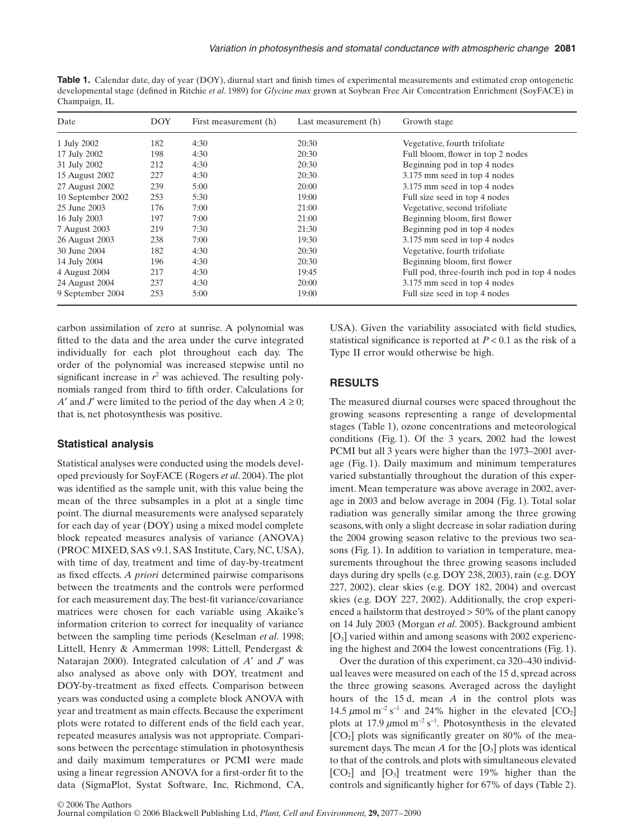**Table 1.** Calendar date, day of year (DOY), diurnal start and finish times of experimental measurements and estimated crop ontogenetic developmental stage (defined in Ritchie *et al*. 1989) for *Glycine max* grown at Soybean Free Air Concentration Enrichment (SoyFACE) in Champaign, IL

| Date              | <b>DOY</b> | First measurement (h) | Last measurement (h) | Growth stage                                   |
|-------------------|------------|-----------------------|----------------------|------------------------------------------------|
| 1 July 2002       | 182        | 4:30                  | 20:30                | Vegetative, fourth trifoliate                  |
| 17 July 2002      | 198        | 4:30                  | 20:30                | Full bloom, flower in top 2 nodes              |
| 31 July 2002      | 212        | 4:30                  | 20:30                | Beginning pod in top 4 nodes                   |
| 15 August 2002    | 227        | 4:30                  | 20:30                | 3.175 mm seed in top 4 nodes                   |
| 27 August 2002    | 239        | 5:00                  | 20:00                | 3.175 mm seed in top 4 nodes                   |
| 10 September 2002 | 253        | 5:30                  | 19:00                | Full size seed in top 4 nodes                  |
| 25 June 2003      | 176        | 7:00                  | 21:00                | Vegetative, second trifoliate                  |
| 16 July 2003      | 197        | 7:00                  | 21:00                | Beginning bloom, first flower                  |
| 7 August 2003     | 219        | 7:30                  | 21:30                | Beginning pod in top 4 nodes                   |
| 26 August 2003    | 238        | 7:00                  | 19:30                | 3.175 mm seed in top 4 nodes                   |
| 30 June 2004      | 182        | 4:30                  | 20:30                | Vegetative, fourth trifoliate                  |
| 14 July 2004      | 196        | 4:30                  | 20:30                | Beginning bloom, first flower                  |
| 4 August 2004     | 217        | 4:30                  | 19:45                | Full pod, three-fourth inch pod in top 4 nodes |
| 24 August 2004    | 237        | 4:30                  | 20:00                | 3.175 mm seed in top 4 nodes                   |
| 9 September 2004  | 253        | 5:00                  | 19:00                | Full size seed in top 4 nodes                  |

carbon assimilation of zero at sunrise. A polynomial was fitted to the data and the area under the curve integrated individually for each plot throughout each day. The order of the polynomial was increased stepwise until no significant increase in  $r^2$  was achieved. The resulting polynomials ranged from third to fifth order. Calculations for *A*<sup> $\prime$ </sup> and *J*<sup> $\prime$ </sup> were limited to the period of the day when  $A \geq 0$ ; that is, net photosynthesis was positive.

### **Statistical analysis**

Statistical analyses were conducted using the models developed previously for SoyFACE (Rogers *et al*. 2004). The plot was identified as the sample unit, with this value being the mean of the three subsamples in a plot at a single time point. The diurnal measurements were analysed separately for each day of year (DOY) using a mixed model complete block repeated measures analysis of variance (ANOVA) (PROC MIXED, SAS v9.1, SAS Institute, Cary, NC, USA), with time of day, treatment and time of day-by-treatment as fixed effects. *A priori* determined pairwise comparisons between the treatments and the controls were performed for each measurement day. The best-fit variance/covariance matrices were chosen for each variable using Akaike's information criterion to correct for inequality of variance between the sampling time periods (Keselman *et al*. 1998; Littell, Henry & Ammerman 1998; Littell, Pendergast & Natarajan 2000). Integrated calculation of *A*′ and *J*′ was also analysed as above only with DOY, treatment and DOY-by-treatment as fixed effects. Comparison between years was conducted using a complete block ANOVA with year and treatment as main effects. Because the experiment plots were rotated to different ends of the field each year, repeated measures analysis was not appropriate. Comparisons between the percentage stimulation in photosynthesis and daily maximum temperatures or PCMI were made using a linear regression ANOVA for a first-order fit to the data (SigmaPlot, Systat Software, Inc, Richmond, CA, USA). Given the variability associated with field studies, statistical significance is reported at  $P < 0.1$  as the risk of a Type II error would otherwise be high.

### **RESULTS**

The measured diurnal courses were spaced throughout the growing seasons representing a range of developmental stages (Table 1), ozone concentrations and meteorological conditions (Fig. 1). Of the 3 years, 2002 had the lowest PCMI but all 3 years were higher than the 1973–2001 average (Fig. 1). Daily maximum and minimum temperatures varied substantially throughout the duration of this experiment. Mean temperature was above average in 2002, average in 2003 and below average in 2004 (Fig. 1). Total solar radiation was generally similar among the three growing seasons, with only a slight decrease in solar radiation during the 2004 growing season relative to the previous two seasons (Fig. 1). In addition to variation in temperature, measurements throughout the three growing seasons included days during dry spells (e.g. DOY 238, 2003), rain (e.g. DOY 227, 2002), clear skies (e.g. DOY 182, 2004) and overcast skies (e.g. DOY 227, 2002). Additionally, the crop experienced a hailstorm that destroyed > 50% of the plant canopy on 14 July 2003 (Morgan *et al*. 2005). Background ambient [O3] varied within and among seasons with 2002 experiencing the highest and 2004 the lowest concentrations (Fig. 1).

Over the duration of this experiment, ca 320–430 individual leaves were measured on each of the 15 d, spread across the three growing seasons. Averaged across the daylight hours of the 15 d, mean *A* in the control plots was 14.5  $\mu$ mol m<sup>-2</sup> s<sup>-1</sup> and 24% higher in the elevated [CO<sub>2</sub>] plots at 17.9  $\mu$ mol m<sup>-2</sup> s<sup>-1</sup>. Photosynthesis in the elevated  $[CO<sub>2</sub>]$  plots was significantly greater on 80% of the measurement days. The mean  $A$  for the  $[O_3]$  plots was identical to that of the controls, and plots with simultaneous elevated  $[CO<sub>2</sub>]$  and  $[O<sub>3</sub>]$  treatment were 19% higher than the controls and significantly higher for 67% of days (Table 2).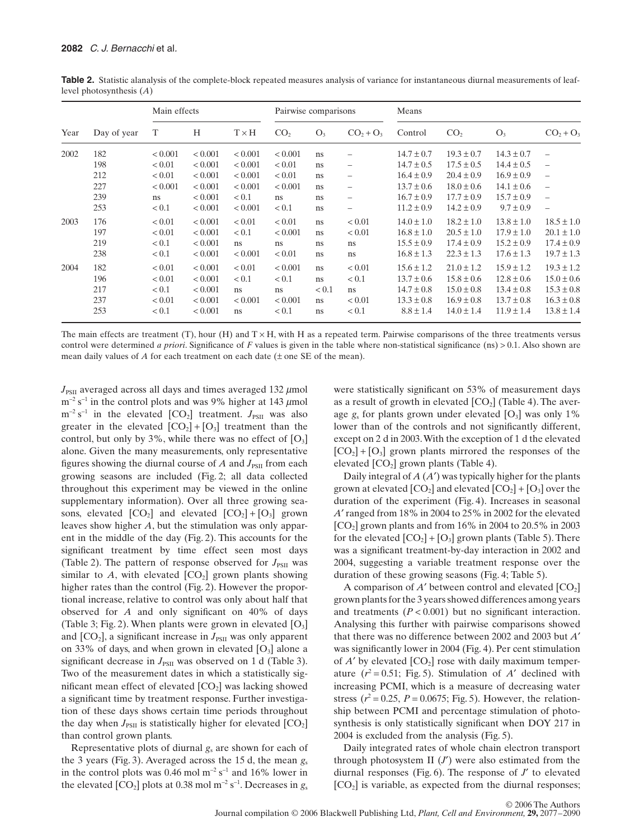| Year | Day of year | Main effects |         |              | Pairwise comparisons |               |                          | Means          |                 |                |                          |
|------|-------------|--------------|---------|--------------|----------------------|---------------|--------------------------|----------------|-----------------|----------------|--------------------------|
|      |             | T            | H       | $T \times H$ | CO <sub>2</sub>      | $O_3$         | $CO2 + O3$               | Control        | CO <sub>2</sub> | $O_3$          | $CO2 + O3$               |
| 2002 | 182         | < 0.001      | < 0.001 | < 0.001      | ${}< 0.001$          | <sub>ns</sub> | $\overline{\phantom{0}}$ | $14.7 \pm 0.7$ | $19.3 \pm 0.7$  | $14.3 \pm 0.7$ | $\overline{\phantom{0}}$ |
|      | 198         | < 0.01       | < 0.001 | < 0.001      | < 0.01               | ns            | -                        | $14.7 \pm 0.5$ | $17.5 \pm 0.5$  | $14.4 \pm 0.5$ | $\overline{\phantom{0}}$ |
|      | 212         | < 0.01       | < 0.001 | < 0.001      | < 0.01               | ns            | $\overline{\phantom{0}}$ | $16.4 \pm 0.9$ | $20.4 \pm 0.9$  | $16.9 \pm 0.9$ | $\overline{\phantom{0}}$ |
|      | 227         | < 0.001      | < 0.001 | < 0.001      | ${}< 0.001$          | ns            | $\overline{\phantom{0}}$ | $13.7 \pm 0.6$ | $18.0 \pm 0.6$  | $14.1 \pm 0.6$ | $\overline{\phantom{0}}$ |
|      | 239         | ns           | < 0.001 | < 0.1        | ns                   | ns            | $\overline{\phantom{0}}$ | $16.7 \pm 0.9$ | $17.7 \pm 0.9$  | $15.7 \pm 0.9$ | $\overline{\phantom{0}}$ |
|      | 253         | < 0.1        | < 0.001 | < 0.001      | < 0.1                | ns.           | $\overline{\phantom{0}}$ | $11.2 \pm 0.9$ | $14.2 \pm 0.9$  | $9.7 \pm 0.9$  | $\overline{\phantom{0}}$ |
| 2003 | 176         | < 0.01       | < 0.001 | < 0.01       | < 0.01               | ns.           | < 0.01                   | $14.0 \pm 1.0$ | $18.2 \pm 1.0$  | $13.8 \pm 1.0$ | $18.5 \pm 1.0$           |
|      | 197         | < 0.01       | < 0.001 | < 0.1        | ${}< 0.001$          | ns            | < 0.01                   | $16.8 \pm 1.0$ | $20.5 \pm 1.0$  | $17.9 \pm 1.0$ | $20.1 \pm 1.0$           |
|      | 219         | < 0.1        | < 0.001 | ns           | ns                   | ns.           | ns                       | $15.5 \pm 0.9$ | $17.4 \pm 0.9$  | $15.2 \pm 0.9$ | $17.4 \pm 0.9$           |
|      | 238         | < 0.1        | < 0.001 | < 0.001      | < 0.01               | <sub>ns</sub> | ns                       | $16.8 \pm 1.3$ | $22.3 \pm 1.3$  | $17.6 \pm 1.3$ | $19.7 \pm 1.3$           |
| 2004 | 182         | < 0.01       | < 0.001 | < 0.01       | < 0.001              | ns            | < 0.01                   | $15.6 \pm 1.2$ | $21.0 \pm 1.2$  | $15.9 \pm 1.2$ | $19.3 \pm 1.2$           |
|      | 196         | < 0.01       | < 0.001 | < 0.1        | < 0.1                | ns            | < 0.1                    | $13.7 \pm 0.6$ | $15.8 \pm 0.6$  | $12.8 \pm 0.6$ | $15.0 \pm 0.6$           |
|      | 217         | < 0.1        | < 0.001 | ns           | ns                   | < 0.1         | ns                       | $14.7 \pm 0.8$ | $15.0 \pm 0.8$  | $13.4 \pm 0.8$ | $15.3 \pm 0.8$           |
|      | 237         | < 0.01       | < 0.001 | < 0.001      | ${}< 0.001$          | ns            | < 0.01                   | $13.3 \pm 0.8$ | $16.9 \pm 0.8$  | $13.7 \pm 0.8$ | $16.3 \pm 0.8$           |
|      | 253         | < 0.1        | < 0.001 | ns           | < 0.1                | ns            | < 0.1                    | $8.8 \pm 1.4$  | $14.0 \pm 1.4$  | $11.9 \pm 1.4$ | $13.8 \pm 1.4$           |

Table 2. Statistic alanalysis of the complete-block repeated measures analysis of variance for instantaneous diurnal measurements of leaflevel photosynthesis (*A*)

The main effects are treatment (T), hour (H) and  $T \times H$ , with H as a repeated term. Pairwise comparisons of the three treatments versus control were determined *a priori*. Significance of *F* values is given in the table where non-statistical significance (ns) > 0.1. Also shown are mean daily values of *A* for each treatment on each date (± one SE of the mean).

 $J_{\rm PSII}$  averaged across all days and times averaged 132  $\mu$ mol  $m^{-2}$  s<sup>-1</sup> in the control plots and was 9% higher at 143  $\mu$ mol m<sup>-2</sup> s<sup>-1</sup> in the elevated [CO<sub>2</sub>] treatment. *J*<sub>PSII</sub> was also greater in the elevated  $[CO_2] + [O_3]$  treatment than the control, but only by 3%, while there was no effect of  $[O_3]$ alone. Given the many measurements, only representative figures showing the diurnal course of  $A$  and  $J_{PSII}$  from each growing seasons are included (Fig. 2; all data collected throughout this experiment may be viewed in the online supplementary information). Over all three growing seasons, elevated  $[CO_2]$  and elevated  $[CO_2] + [O_3]$  grown leaves show higher *A*, but the stimulation was only apparent in the middle of the day (Fig. 2). This accounts for the significant treatment by time effect seen most days (Table 2). The pattern of response observed for  $J_{PSTI}$  was similar to  $A$ , with elevated  $[CO_2]$  grown plants showing higher rates than the control (Fig. 2). However the proportional increase, relative to control was only about half that observed for *A* and only significant on 40% of days (Table 3; Fig. 2). When plants were grown in elevated  $[O_3]$ and  $[CO_2]$ , a significant increase in  $J_{\text{PSII}}$  was only apparent on 33% of days, and when grown in elevated  $[O_3]$  alone a significant decrease in  $J_{PSII}$  was observed on 1 d (Table 3). Two of the measurement dates in which a statistically significant mean effect of elevated  $[CO_2]$  was lacking showed a significant time by treatment response. Further investigation of these days shows certain time periods throughout the day when  $J_{PSII}$  is statistically higher for elevated  $[CO_2]$ than control grown plants.

Representative plots of diurnal *g*<sup>s</sup> are shown for each of the 3 years (Fig. 3). Averaged across the 15 d, the mean  $g_s$ in the control plots was 0.46 mol m<sup>-2</sup> s<sup>-1</sup> and 16% lower in the elevated  $[CO_2]$  plots at 0.38 mol m<sup>-2</sup> s<sup>-1</sup>. Decreases in  $g_s$ 

were statistically significant on 53% of measurement days as a result of growth in elevated  $[CO<sub>2</sub>]$  (Table 4). The average  $g_s$  for plants grown under elevated  $[O_3]$  was only 1% lower than of the controls and not significantly different, except on 2 d in 2003. With the exception of 1 d the elevated  $[CO<sub>2</sub>] + [O<sub>3</sub>]$  grown plants mirrored the responses of the elevated  $[CO_2]$  grown plants (Table 4).

Daily integral of *A* (*A*′) was typically higher for the plants grown at elevated  $[CO_2]$  and elevated  $[CO_2] + [O_3]$  over the duration of the experiment (Fig. 4). Increases in seasonal *A*′ ranged from 18% in 2004 to 25% in 2002 for the elevated  $[CO<sub>2</sub>]$  grown plants and from 16% in 2004 to 20.5% in 2003 for the elevated  $[CO_2] + [O_3]$  grown plants (Table 5). There was a significant treatment-by-day interaction in 2002 and 2004, suggesting a variable treatment response over the duration of these growing seasons (Fig. 4; Table 5).

A comparison of  $A'$  between control and elevated  $[CO_2]$ grown plants for the 3 years showed differences among years and treatments  $(P < 0.001)$  but no significant interaction. Analysing this further with pairwise comparisons showed that there was no difference between 2002 and 2003 but *A*′ was significantly lower in 2004 (Fig. 4). Per cent stimulation of  $A'$  by elevated  $[CO_2]$  rose with daily maximum temperature  $(r^2 = 0.51;$  Fig. 5). Stimulation of *A'* declined with increasing PCMI, which is a measure of decreasing water stress  $(r^2 = 0.25, P = 0.0675;$  Fig. 5). However, the relationship between PCMI and percentage stimulation of photosynthesis is only statistically significant when DOY 217 in 2004 is excluded from the analysis (Fig. 5).

Daily integrated rates of whole chain electron transport through photosystem II  $(J')$  were also estimated from the diurnal responses (Fig. 6). The response of *J*′ to elevated  $[CO<sub>2</sub>]$  is variable, as expected from the diurnal responses;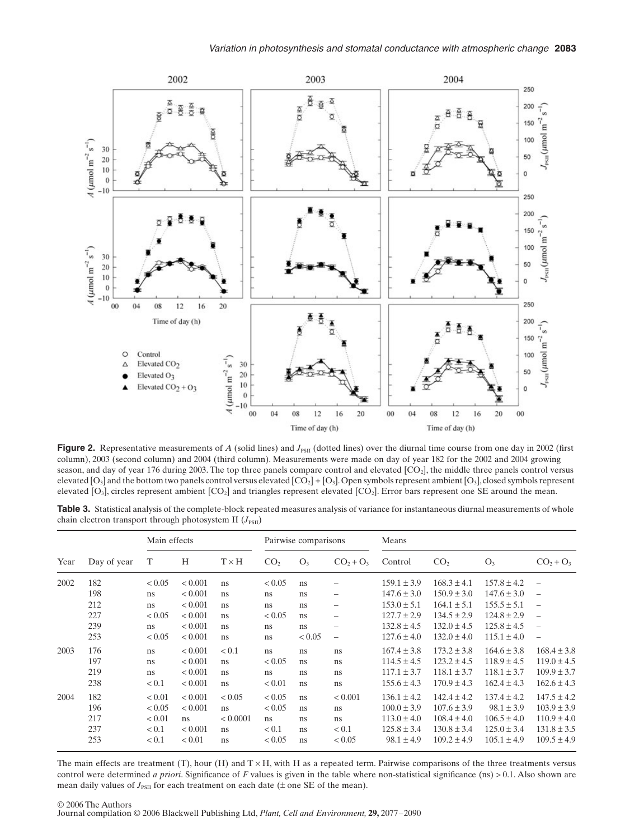

Figure 2. Representative measurements of *A* (solid lines) and *J*<sub>PSII</sub> (dotted lines) over the diurnal time course from one day in 2002 (first column), 2003 (second column) and 2004 (third column). Measurements were made on day of year 182 for the 2002 and 2004 growing season, and day of year 176 during 2003. The top three panels compare control and elevated [CO<sub>2</sub>], the middle three panels control versus elevated  $[O_3]$  and the bottom two panels control versus elevated  $[CO_2] + [O_3]$ . Open symbols represent ambient  $[O_3]$ , closed symbols represent elevated  $[O_3]$ , circles represent ambient  $[CO_2]$  and triangles represent elevated  $[CO_2]$ . Error bars represent one SE around the mean.

Table 3. Statistical analysis of the complete-block repeated measures analysis of variance for instantaneous diurnal measurements of whole chain electron transport through photosystem II  $(J_{PSII})$ 

| Year | Day of year |        | Main effects |              |                 | Pairwise comparisons |                          |                 | Means           |                 |                          |  |
|------|-------------|--------|--------------|--------------|-----------------|----------------------|--------------------------|-----------------|-----------------|-----------------|--------------------------|--|
|      |             | T      | H            | $T \times H$ | CO <sub>2</sub> | $O_3$                | $CO_2 + O_3$             | Control         | CO <sub>2</sub> | $O_3$           | $CO_2 + O_3$             |  |
| 2002 | 182         | < 0.05 | ${}< 0.001$  | ns           | < 0.05          | <sub>ns</sub>        |                          | $159.1 \pm 3.9$ | $168.3 \pm 4.1$ | $157.8 \pm 4.2$ | $\equiv$                 |  |
|      | 198         | ns     | < 0.001      | ns           | <sub>ns</sub>   | ns                   | -                        | $147.6 \pm 3.0$ | $150.9 \pm 3.0$ | $147.6 \pm 3.0$ | $\overline{\phantom{0}}$ |  |
|      | 212         | ns     | < 0.001      | ns           | ns              | ns                   | -                        | $153.0 \pm 5.1$ | $164.1 \pm 5.1$ | $155.5 \pm 5.1$ | $\overline{\phantom{0}}$ |  |
|      | 227         | < 0.05 | ${}< 0.001$  | ns           | < 0.05          | ns                   | -                        | $127.7 \pm 2.9$ | $134.5 \pm 2.9$ | $124.8 \pm 2.9$ |                          |  |
|      | 239         | ns     | < 0.001      | ns           | <sub>ns</sub>   | ns                   | -                        | $132.8 \pm 4.5$ | $132.0 \pm 4.5$ | $125.8 \pm 4.5$ | $\overline{\phantom{0}}$ |  |
|      | 253         | < 0.05 | ${}< 0.001$  | ns           | ns              | < 0.05               | $\overline{\phantom{0}}$ | $127.6 \pm 4.0$ | $132.0 \pm 4.0$ | $115.1 \pm 4.0$ | $\overline{\phantom{0}}$ |  |
| 2003 | 176         | ns     | < 0.001      | < 0.1        | ns              | ns                   | ns                       | $167.4 \pm 3.8$ | $173.2 \pm 3.8$ | $164.6 \pm 3.8$ | $168.4 \pm 3.8$          |  |
|      | 197         | ns     | < 0.001      | ns           | ${}_{0.05}$     | ns                   | ns                       | $114.5 \pm 4.5$ | $123.2 \pm 4.5$ | $118.9 \pm 4.5$ | $119.0 \pm 4.5$          |  |
|      | 219         | ns     | < 0.001      | ns           | ns              | ns                   | ns                       | $117.1 \pm 3.7$ | $118.1 \pm 3.7$ | $118.1 \pm 3.7$ | $109.9 \pm 3.7$          |  |
|      | 238         | < 0.1  | < 0.001      | ns           | < 0.01          | ns                   | ns                       | $155.6 \pm 4.3$ | $170.9 \pm 4.3$ | $162.4 \pm 4.3$ | $162.6 \pm 4.3$          |  |
| 2004 | 182         | < 0.01 | < 0.001      | < 0.05       | < 0.05          | ns                   | < 0.001                  | $136.1 \pm 4.2$ | $142.4 \pm 4.2$ | $137.4 \pm 4.2$ | $147.5 \pm 4.2$          |  |
|      | 196         | < 0.05 | < 0.001      | ns           | < 0.05          | ns                   | ns                       | $100.0 \pm 3.9$ | $107.6 \pm 3.9$ | $98.1 \pm 3.9$  | $103.9 \pm 3.9$          |  |
|      | 217         | < 0.01 | ns           | < 0.0001     | ns              | <sub>ns</sub>        | ns                       | $113.0 \pm 4.0$ | $108.4 \pm 4.0$ | $106.5 \pm 4.0$ | $110.9 \pm 4.0$          |  |
|      | 237         | < 0.1  | ${}< 0.001$  | ns           | < 0.1           | ns                   | < 0.1                    | $125.8 \pm 3.4$ | $130.8 \pm 3.4$ | $125.0 \pm 3.4$ | $131.8 \pm 3.5$          |  |
|      | 253         | < 0.1  | < 0.01       | ns           | < 0.05          | ns                   | < 0.05                   | $98.1 \pm 4.9$  | $109.2 \pm 4.9$ | $105.1 \pm 4.9$ | $109.5 \pm 4.9$          |  |

The main effects are treatment (T), hour (H) and  $T \times H$ , with H as a repeated term. Pairwise comparisons of the three treatments versus control were determined *a priori*. Significance of *F* values is given in the table where non-statistical significance (ns) > 0.1. Also shown are mean daily values of  $J_{PSII}$  for each treatment on each date ( $\pm$  one SE of the mean).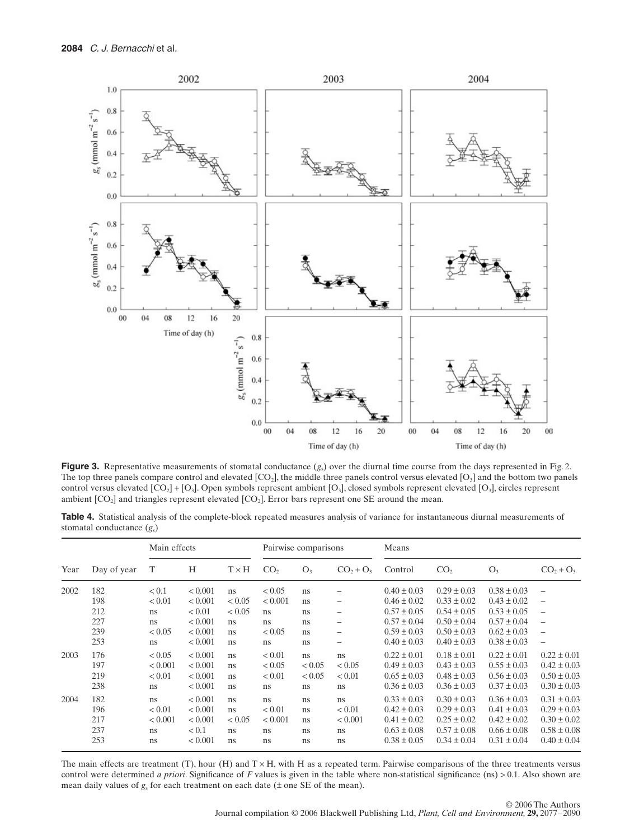

**Figure 3.** Representative measurements of stomatal conductance  $(g_s)$  over the diurnal time course from the days represented in Fig. 2. The top three panels compare control and elevated  $[CO_2]$ , the middle three panels control versus elevated  $[O_3]$  and the bottom two panels control versus elevated  $[CO_2] + [O_3]$ . Open symbols represent ambient  $[O_3]$ , closed symbols represent elevated  $[O_3]$ , circles represent ambient  $[CO<sub>2</sub>]$  and triangles represent elevated  $[CO<sub>2</sub>]$ . Error bars represent one SE around the mean.

**Table 4.** Statistical analysis of the complete-block repeated measures analysis of variance for instantaneous diurnal measurements of stomatal conductance (*g*s)

|      | Day of year | Main effects      |                        |              | Pairwise comparisons |                |              | Means                              |                                    |                                    |                                    |
|------|-------------|-------------------|------------------------|--------------|----------------------|----------------|--------------|------------------------------------|------------------------------------|------------------------------------|------------------------------------|
| Year |             | Т                 | H                      | $T \times H$ | CO <sub>2</sub>      | O <sub>3</sub> | $CO2 + O3$   | Control                            | CO <sub>2</sub>                    | O <sub>3</sub>                     | $CO2 + O3$                         |
| 2002 | 182         | < 0.1             | ${}< 0.001$            | ns           | < 0.05               | ns             |              | $0.40 \pm 0.03$                    | $0.29 \pm 0.03$                    | $0.38 \pm 0.03$                    | $\overline{\phantom{0}}$           |
|      | 198         | < 0.01            | < 0.001                | < 0.05       | < 0.001              | ns             | -            | $0.46 \pm 0.02$                    | $0.33 \pm 0.02$                    | $0.43 \pm 0.02$                    | $\overline{\phantom{0}}$           |
|      | 212         | ns.               | < 0.01                 | < 0.05       | ns                   | ns             | -            | $0.57 \pm 0.05$                    | $0.54 \pm 0.05$                    | $0.53 \pm 0.05$                    | $\overline{\phantom{0}}$           |
|      | 227         | ns.               | ${}< 0.001$            | ns           | ns                   | ns             | -            | $0.57 \pm 0.04$                    | $0.50 \pm 0.04$                    | $0.57 \pm 0.04$                    |                                    |
|      | 239         | < 0.05            | ${}< 0.001$            | ns           | < 0.05               | ns             | -            | $0.59 \pm 0.03$                    | $0.50 \pm 0.03$                    | $0.62 \pm 0.03$                    | $\overline{\phantom{0}}$           |
|      | 253         | ns.               | < 0.001                | ns           | ns                   | ns             | -            | $0.40 \pm 0.03$                    | $0.40 \pm 0.03$                    | $0.38 \pm 0.03$                    | $\overline{\phantom{0}}$           |
| 2003 | 176<br>197  | < 0.05<br>< 0.001 | ${}< 0.001$<br>< 0.001 | ns<br>ns     | < 0.01<br>< 0.05     | ns<br>< 0.05   | ns<br>< 0.05 | $0.22 \pm 0.01$<br>$0.49 \pm 0.03$ | $0.18 \pm 0.01$<br>$0.43 \pm 0.03$ | $0.22 \pm 0.01$<br>$0.55 \pm 0.03$ | $0.22 \pm 0.01$<br>$0.42 \pm 0.03$ |
|      | 219         | < 0.01            | < 0.001                | ns           | < 0.01               | < 0.05         | < 0.01       | $0.65 \pm 0.03$                    | $0.48 \pm 0.03$                    | $0.56 \pm 0.03$                    | $0.50 \pm 0.03$                    |
|      | 238         | ns                | ${}_{< 0.001}$         | ns           | ns                   | ns             | ns           | $0.36 \pm 0.03$                    | $0.36 \pm 0.03$                    | $0.37 \pm 0.03$                    | $0.30 \pm 0.03$                    |
| 2004 | 182         | ns                | ${}_{< 0.001}$         | ns           | ns                   | ns             | ns           | $0.33 \pm 0.03$                    | $0.30 \pm 0.03$                    | $0.36 \pm 0.03$                    | $0.31 \pm 0.03$                    |
|      | 196         | < 0.01            | < 0.001                | ns           | < 0.01               | ns             | < 0.01       | $0.42 \pm 0.03$                    | $0.29 \pm 0.03$                    | $0.41 \pm 0.03$                    | $0.29 \pm 0.03$                    |
|      | 217         | < 0.001           | < 0.001                | < 0.05       | < 0.001              | ns             | ${}< 0.001$  | $0.41 \pm 0.02$                    | $0.25 \pm 0.02$                    | $0.42 \pm 0.02$                    | $0.30 \pm 0.02$                    |
|      | 237         | ns.               | < 0.1                  | ns           | ns                   | ns             | ns           | $0.63 \pm 0.08$                    | $0.57 \pm 0.08$                    | $0.66 \pm 0.08$                    | $0.58 \pm 0.08$                    |
|      | 253         | ns.               | ${}_{< 0.001}$         | ns           | ns                   | ns             | ns           | $0.38 \pm 0.05$                    | $0.34 \pm 0.04$                    | $0.31 \pm 0.04$                    | $0.40 \pm 0.04$                    |

The main effects are treatment (T), hour (H) and  $T \times H$ , with H as a repeated term. Pairwise comparisons of the three treatments versus control were determined *a priori*. Significance of *F* values is given in the table where non-statistical significance (ns) > 0.1. Also shown are mean daily values of  $g_s$  for each treatment on each date ( $\pm$  one SE of the mean).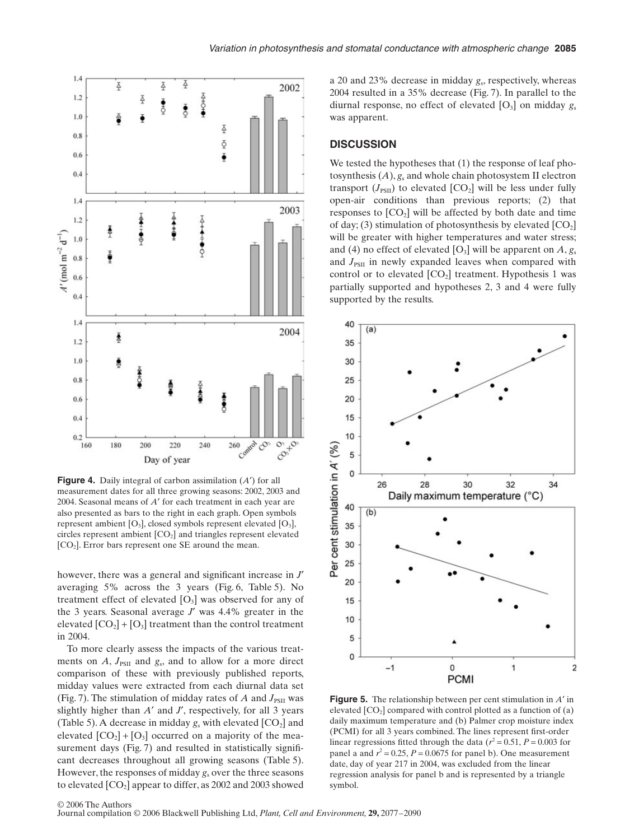

**Figure 4.** Daily integral of carbon assimilation (*A*′) for all measurement dates for all three growing seasons: 2002, 2003 and 2004. Seasonal means of *A*′ for each treatment in each year are also presented as bars to the right in each graph. Open symbols represent ambient  $[O_3]$ , closed symbols represent elevated  $[O_3]$ , circles represent ambient  $[CO<sub>2</sub>]$  and triangles represent elevated  $[CO<sub>2</sub>]$ . Error bars represent one SE around the mean.

however, there was a general and significant increase in *J*′ averaging 5% across the 3 years (Fig. 6, Table 5). No treatment effect of elevated  $[O_3]$  was observed for any of the 3 years. Seasonal average *J*′ was 4.4% greater in the elevated  $[CO_2] + [O_3]$  treatment than the control treatment in 2004.

To more clearly assess the impacts of the various treatments on  $A$ ,  $J_{PSII}$  and  $g_s$ , and to allow for a more direct comparison of these with previously published reports, midday values were extracted from each diurnal data set (Fig. 7). The stimulation of midday rates of  $A$  and  $J_{PSTI}$  was slightly higher than *A*′ and *J*′, respectively, for all 3 years (Table 5). A decrease in midday  $g_s$  with elevated  $[CO_2]$  and elevated  $[CO_2] + [O_3]$  occurred on a majority of the measurement days (Fig. 7) and resulted in statistically significant decreases throughout all growing seasons (Table 5). However, the responses of midday *g*<sup>s</sup> over the three seasons to elevated  $[CO<sub>2</sub>]$  appear to differ, as 2002 and 2003 showed a 20 and 23% decrease in midday *g*s, respectively, whereas 2004 resulted in a 35% decrease (Fig. 7). In parallel to the diurnal response, no effect of elevated  $[O_3]$  on midday  $g_s$ was apparent.

## **DISCUSSION**

We tested the hypotheses that  $(1)$  the response of leaf photosynthesis  $(A)$ ,  $g_s$  and whole chain photosystem II electron transport  $(J_{PSII})$  to elevated  $[CO_2]$  will be less under fully open-air conditions than previous reports; (2) that responses to  $[CO<sub>2</sub>]$  will be affected by both date and time of day; (3) stimulation of photosynthesis by elevated  $[CO<sub>2</sub>]$ will be greater with higher temperatures and water stress; and (4) no effect of elevated  $[O_3]$  will be apparent on  $A, g_s$ and  $J_{PSII}$  in newly expanded leaves when compared with control or to elevated  $[CO<sub>2</sub>]$  treatment. Hypothesis 1 was partially supported and hypotheses 2, 3 and 4 were fully supported by the results.



**Figure 5.** The relationship between per cent stimulation in *A*′ in elevated  $[CO<sub>2</sub>]$  compared with control plotted as a function of (a) daily maximum temperature and (b) Palmer crop moisture index (PCMI) for all 3 years combined. The lines represent first-order linear regressions fitted through the data  $(r^2 = 0.51, P = 0.003$  for panel a and  $r^2 = 0.25$ ,  $P = 0.0675$  for panel b). One measurement date, day of year 217 in 2004, was excluded from the linear regression analysis for panel b and is represented by a triangle symbol.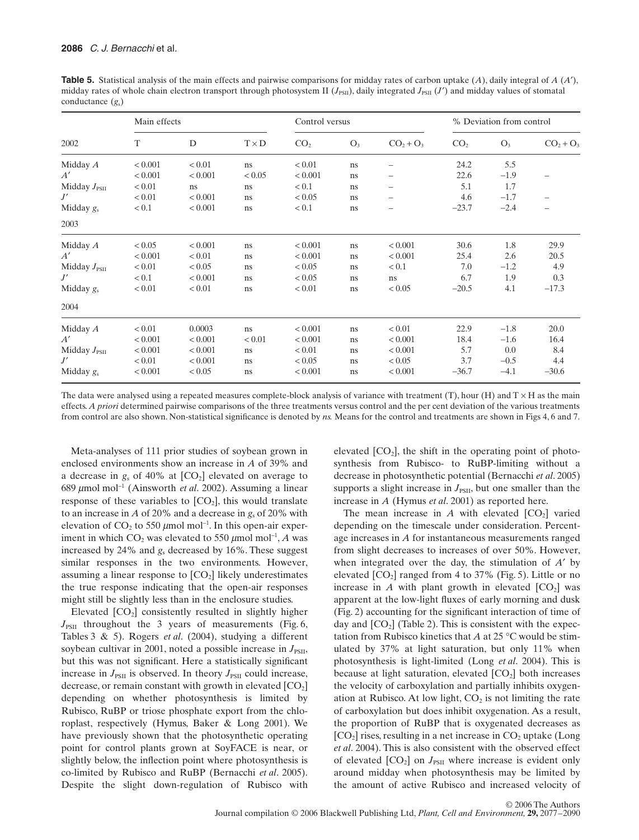**Table 5.** Statistical analysis of the main effects and pairwise comparisons for midday rates of carbon uptake (*A*), daily integral of *A* (*A*′), midday rates of whole chain electron transport through photosystem II ( $J_{PSII}$ ), daily integrated  $J_{PSII}$  ( $J'$ ) and midday values of stomatal conductance (*g*s)

| 2002              | Main effects |         |              | Control versus  |       |                | % Deviation from control |        |            |
|-------------------|--------------|---------|--------------|-----------------|-------|----------------|--------------------------|--------|------------|
|                   | T            | D       | $T \times D$ | CO <sub>2</sub> | $O_3$ | $CO2 + O3$     | CO <sub>2</sub>          | $O_3$  | $CO2 + O3$ |
| Midday A          | < 0.001      | < 0.01  | ns           | < 0.01          | ns    | -              | 24.2                     | 5.5    |            |
| A'                | < 0.001      | < 0.001 | < 0.05       | ${}< 0.001$     | ns    |                | 22.6                     | $-1.9$ |            |
| Midday $J_{PSII}$ | < 0.01       | ns      | ns           | < 0.1           | ns    |                | 5.1                      | 1.7    |            |
| J'                | < 0.01       | < 0.001 | ns           | < 0.05          | ns    |                | 4.6                      | $-1.7$ |            |
| Midday $g_s$      | < 0.1        | < 0.001 | ns           | < 0.1           | ns    |                | $-23.7$                  | $-2.4$ |            |
| 2003              |              |         |              |                 |       |                |                          |        |            |
| Midday $A$        | < 0.05       | < 0.001 | ns.          | < 0.001         | ns    | ${}_{< 0.001}$ | 30.6                     | 1.8    | 29.9       |
| A'                | < 0.001      | < 0.01  | ns           | < 0.001         | ns    | < 0.001        | 25.4                     | 2.6    | 20.5       |
| Midday $J_{PSII}$ | < 0.01       | < 0.05  | ns           | < 0.05          | ns    | < 0.1          | 7.0                      | $-1.2$ | 4.9        |
| J'                | < 0.1        | < 0.001 | ns.          | < 0.05          | ns    | ns             | 6.7                      | 1.9    | 0.3        |
| Midday $g_s$      | < 0.01       | < 0.01  | ns           | < 0.01          | ns    | < 0.05         | $-20.5$                  | 4.1    | $-17.3$    |
| 2004              |              |         |              |                 |       |                |                          |        |            |
| Midday A          | < 0.01       | 0.0003  | ns           | < 0.001         | ns    | < 0.01         | 22.9                     | $-1.8$ | 20.0       |
| A'                | < 0.001      | < 0.001 | < 0.01       | < 0.001         | ns    | < 0.001        | 18.4                     | $-1.6$ | 16.4       |
| Midday $J_{PSII}$ | < 0.001      | < 0.001 | ns           | < 0.01          | ns    | < 0.001        | 5.7                      | 0.0    | 8.4        |
| J'                | < 0.01       | < 0.001 | ns.          | < 0.05          | ns    | < 0.05         | 3.7                      | $-0.5$ | 4.4        |
| Midday $g_s$      | < 0.001      | < 0.05  | ns.          | < 0.001         | ns    | < 0.001        | $-36.7$                  | $-4.1$ | $-30.6$    |

The data were analysed using a repeated measures complete-block analysis of variance with treatment (T), hour (H) and  $T \times H$  as the main effects. *A priori* determined pairwise comparisons of the three treatments versus control and the per cent deviation of the various treatments from control are also shown. Non-statistical significance is denoted by *ns.* Means for the control and treatments are shown in Figs 4, 6 and 7.

Meta-analyses of 111 prior studies of soybean grown in enclosed environments show an increase in *A* of 39% and a decrease in  $g_s$  of 40% at  $[CO_2]$  elevated on average to 689 µmol mol<sup>−</sup><sup>1</sup> (Ainsworth *et al*. 2002). Assuming a linear response of these variables to  $[CO_2]$ , this would translate to an increase in *A* of 20% and a decrease in *g*<sup>s</sup> of 20% with elevation of  $CO_2$  to 550  $\mu$ mol mol<sup>-1</sup>. In this open-air experiment in which  $CO_2$  was elevated to 550  $\mu$ mol mol<sup>-1</sup>, *A* was increased by 24% and *g*<sup>s</sup> decreased by 16%. These suggest similar responses in the two environments. However, assuming a linear response to  $[CO_2]$  likely underestimates the true response indicating that the open-air responses might still be slightly less than in the enclosure studies.

Elevated  $[CO<sub>2</sub>]$  consistently resulted in slightly higher  $J_{\text{PSII}}$  throughout the 3 years of measurements (Fig. 6, Tables 3 & 5). Rogers *et al*. (2004), studying a different soybean cultivar in 2001, noted a possible increase in  $J_{PSII}$ , but this was not significant. Here a statistically significant increase in  $J_{PSII}$  is observed. In theory  $J_{PSII}$  could increase, decrease, or remain constant with growth in elevated  $[CO<sub>2</sub>]$ depending on whether photosynthesis is limited by Rubisco, RuBP or triose phosphate export from the chloroplast, respectively (Hymus, Baker & Long 2001). We have previously shown that the photosynthetic operating point for control plants grown at SoyFACE is near, or slightly below, the inflection point where photosynthesis is co-limited by Rubisco and RuBP (Bernacchi *et al*. 2005). Despite the slight down-regulation of Rubisco with elevated  $[CO_2]$ , the shift in the operating point of photosynthesis from Rubisco- to RuBP-limiting without a decrease in photosynthetic potential (Bernacchi *et al*. 2005) supports a slight increase in  $J_{\text{PSII}}$ , but one smaller than the increase in *A* (Hymus *et al*. 2001) as reported here.

The mean increase in  $A$  with elevated  $[CO_2]$  varied depending on the timescale under consideration. Percentage increases in *A* for instantaneous measurements ranged from slight decreases to increases of over 50%. However, when integrated over the day, the stimulation of *A*′ by elevated  $[CO_2]$  ranged from 4 to 37% (Fig. 5). Little or no increase in *A* with plant growth in elevated  $[CO<sub>2</sub>]$  was apparent at the low-light fluxes of early morning and dusk (Fig. 2) accounting for the significant interaction of time of day and  $[CO<sub>2</sub>]$  (Table 2). This is consistent with the expectation from Rubisco kinetics that *A* at 25 °C would be stimulated by 37% at light saturation, but only 11% when photosynthesis is light-limited (Long *et al*. 2004). This is because at light saturation, elevated  $[CO<sub>2</sub>]$  both increases the velocity of carboxylation and partially inhibits oxygenation at Rubisco. At low light,  $CO<sub>2</sub>$  is not limiting the rate of carboxylation but does inhibit oxygenation. As a result, the proportion of RuBP that is oxygenated decreases as  $[CO<sub>2</sub>]$  rises, resulting in a net increase in  $CO<sub>2</sub>$  uptake (Long *et al*. 2004). This is also consistent with the observed effect of elevated  $[CO_2]$  on  $J_{PSII}$  where increase is evident only around midday when photosynthesis may be limited by the amount of active Rubisco and increased velocity of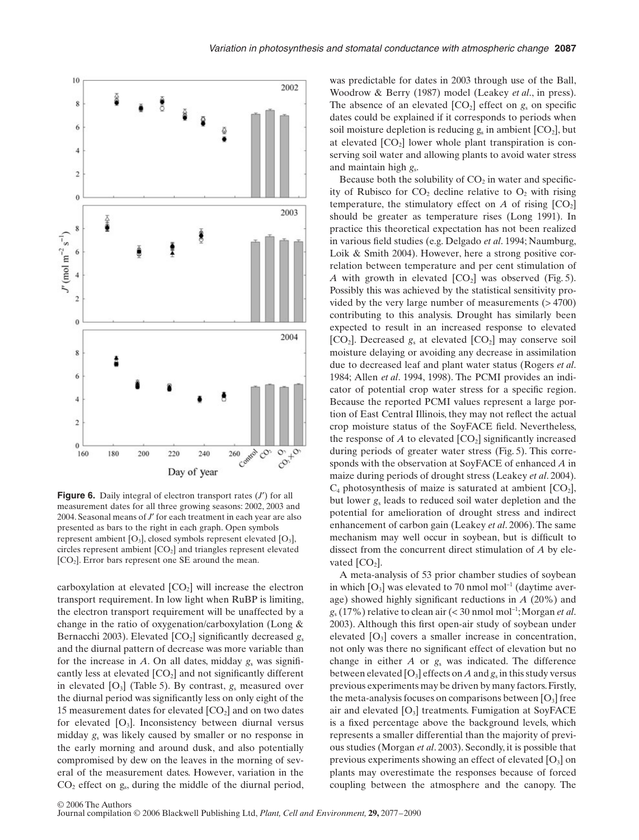

**Figure 6.** Daily integral of electron transport rates (*J'*) for all measurement dates for all three growing seasons: 2002, 2003 and 2004. Seasonal means of *J*′ for each treatment in each year are also presented as bars to the right in each graph. Open symbols represent ambient  $[O_3]$ , closed symbols represent elevated  $[O_3]$ , circles represent ambient  $[CO<sub>2</sub>]$  and triangles represent elevated [CO<sub>2</sub>]. Error bars represent one SE around the mean.

carboxylation at elevated  $[CO<sub>2</sub>]$  will increase the electron transport requirement. In low light when RuBP is limiting, the electron transport requirement will be unaffected by a change in the ratio of oxygenation/carboxylation (Long & Bernacchi 2003). Elevated [CO<sub>2</sub>] significantly decreased *g*<sub>s</sub> and the diurnal pattern of decrease was more variable than for the increase in  $A$ . On all dates, midday  $g_s$  was significantly less at elevated  $[CO<sub>2</sub>]$  and not significantly different in elevated  $[O_3]$  (Table 5). By contrast,  $g_s$  measured over the diurnal period was significantly less on only eight of the 15 measurement dates for elevated  $[CO<sub>2</sub>]$  and on two dates for elevated  $[O_3]$ . Inconsistency between diurnal versus midday *g*<sup>s</sup> was likely caused by smaller or no response in the early morning and around dusk, and also potentially compromised by dew on the leaves in the morning of several of the measurement dates. However, variation in the  $CO<sub>2</sub>$  effect on g<sub>s</sub>, during the middle of the diurnal period, was predictable for dates in 2003 through use of the Ball, Woodrow & Berry (1987) model (Leakey *et al*., in press). The absence of an elevated  $[CO_2]$  effect on  $g_s$  on specific dates could be explained if it corresponds to periods when soil moisture depletion is reducing  $g_s$  in ambient  $[CO_2]$ , but at elevated  $[CO<sub>2</sub>]$  lower whole plant transpiration is conserving soil water and allowing plants to avoid water stress and maintain high *g*s.

Because both the solubility of  $CO<sub>2</sub>$  in water and specificity of Rubisco for  $CO<sub>2</sub>$  decline relative to  $O<sub>2</sub>$  with rising temperature, the stimulatory effect on  $A$  of rising  $[CO<sub>2</sub>]$ should be greater as temperature rises (Long 1991). In practice this theoretical expectation has not been realized in various field studies (e.g. Delgado *et al*. 1994; Naumburg, Loik & Smith 2004). However, here a strong positive correlation between temperature and per cent stimulation of *A* with growth in elevated  $[CO_2]$  was observed (Fig. 5). Possibly this was achieved by the statistical sensitivity provided by the very large number of measurements  $($  > 4700 $)$ contributing to this analysis. Drought has similarly been expected to result in an increased response to elevated  $[CO_2]$ . Decreased  $g_s$  at elevated  $[CO_2]$  may conserve soil moisture delaying or avoiding any decrease in assimilation due to decreased leaf and plant water status (Rogers *et al*. 1984; Allen *et al*. 1994, 1998). The PCMI provides an indicator of potential crop water stress for a specific region. Because the reported PCMI values represent a large portion of East Central Illinois, they may not reflect the actual crop moisture status of the SoyFACE field. Nevertheless, the response of  $A$  to elevated  $[CO_2]$  significantly increased during periods of greater water stress (Fig. 5). This corresponds with the observation at SoyFACE of enhanced *A* in maize during periods of drought stress (Leakey *et al*. 2004).  $C_4$  photosynthesis of maize is saturated at ambient  $[CO_2]$ , but lower *g*<sup>s</sup> leads to reduced soil water depletion and the potential for amelioration of drought stress and indirect enhancement of carbon gain (Leakey *et al*. 2006). The same mechanism may well occur in soybean, but is difficult to dissect from the concurrent direct stimulation of *A* by elevated  $[CO<sub>2</sub>]$ .

A meta-analysis of 53 prior chamber studies of soybean in which  $[O_3]$  was elevated to 70 nmol mol<sup>-1</sup> (daytime average) showed highly significant reductions in *A* (20%) and *g*<sup>s</sup> (17%) relative to clean air (< 30 nmol mol<sup>−</sup><sup>1</sup> ; Morgan *et al*. 2003). Although this first open-air study of soybean under elevated [O3] covers a smaller increase in concentration, not only was there no significant effect of elevation but no change in either *A* or *g*<sup>s</sup> was indicated. The difference between elevated  $[O_3]$  effects on *A* and  $g_s$  in this study versus previous experiments may be driven by many factors. Firstly, the meta-analysis focuses on comparisons between  $[O_3]$  free air and elevated  $[O_3]$  treatments. Fumigation at SoyFACE is a fixed percentage above the background levels, which represents a smaller differential than the majority of previous studies (Morgan *et al*. 2003). Secondly, it is possible that previous experiments showing an effect of elevated  $[O_3]$  on plants may overestimate the responses because of forced coupling between the atmosphere and the canopy. The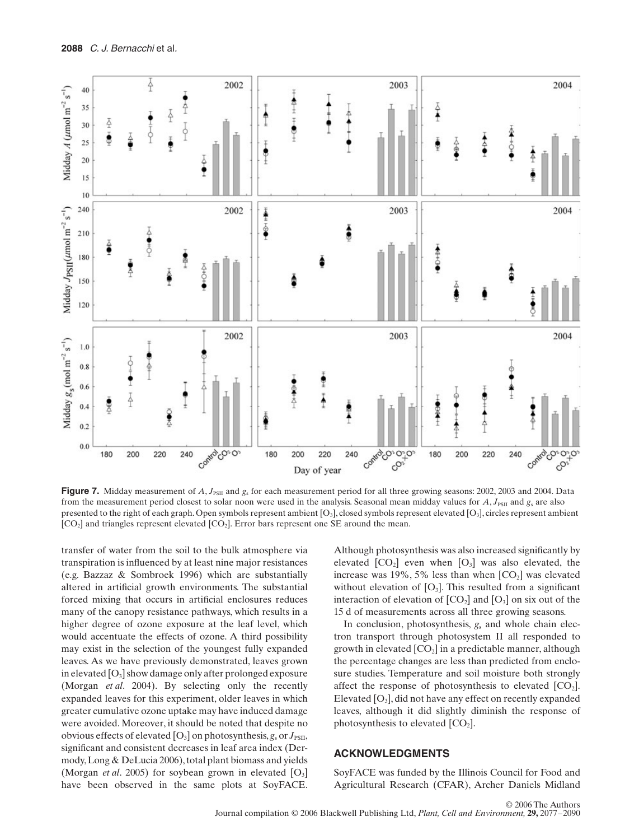

**Figure 7.** Midday measurement of  $A$ ,  $J_{PSII}$  and  $g_s$  for each measurement period for all three growing seasons: 2002, 2003 and 2004. Data from the measurement period closest to solar noon were used in the analysis. Seasonal mean midday values for *A*,  $J_{PSII}$  and  $g_s$  are also presented to the right of each graph. Open symbols represent ambient  $[O_3]$ , closed symbols represent elevated  $[O_3]$ , circles represent ambient  $[CO<sub>2</sub>]$  and triangles represent elevated  $[CO<sub>2</sub>]$ . Error bars represent one SE around the mean.

transfer of water from the soil to the bulk atmosphere via transpiration is influenced by at least nine major resistances (e.g. Bazzaz & Sombroek 1996) which are substantially altered in artificial growth environments. The substantial forced mixing that occurs in artificial enclosures reduces many of the canopy resistance pathways, which results in a higher degree of ozone exposure at the leaf level, which would accentuate the effects of ozone. A third possibility may exist in the selection of the youngest fully expanded leaves. As we have previously demonstrated, leaves grown in elevated  $[O_3]$  show damage only after prolonged exposure (Morgan *et al*. 2004). By selecting only the recently expanded leaves for this experiment, older leaves in which greater cumulative ozone uptake may have induced damage were avoided. Moreover, it should be noted that despite no obvious effects of elevated  $[O_3]$  on photosynthesis,  $g_s$  or  $J_{PSII}$ , significant and consistent decreases in leaf area index (Dermody, Long & DeLucia 2006), total plant biomass and yields (Morgan *et al.* 2005) for soybean grown in elevated  $[O_3]$ have been observed in the same plots at SoyFACE. Although photosynthesis was also increased significantly by elevated  $[CO_2]$  even when  $[O_3]$  was also elevated, the increase was 19%, 5% less than when  $[CO<sub>2</sub>]$  was elevated without elevation of  $[O_3]$ . This resulted from a significant interaction of elevation of  $[CO_2]$  and  $[O_3]$  on six out of the 15 d of measurements across all three growing seasons.

In conclusion, photosynthesis, *g*<sup>s</sup> and whole chain electron transport through photosystem II all responded to growth in elevated  $[CO_2]$  in a predictable manner, although the percentage changes are less than predicted from enclosure studies. Temperature and soil moisture both strongly affect the response of photosynthesis to elevated  $[CO<sub>2</sub>]$ . Elevated  $[O_3]$ , did not have any effect on recently expanded leaves, although it did slightly diminish the response of photosynthesis to elevated  $[CO<sub>2</sub>]$ .

#### **ACKNOWLEDGMENTS**

SoyFACE was funded by the Illinois Council for Food and Agricultural Research (CFAR), Archer Daniels Midland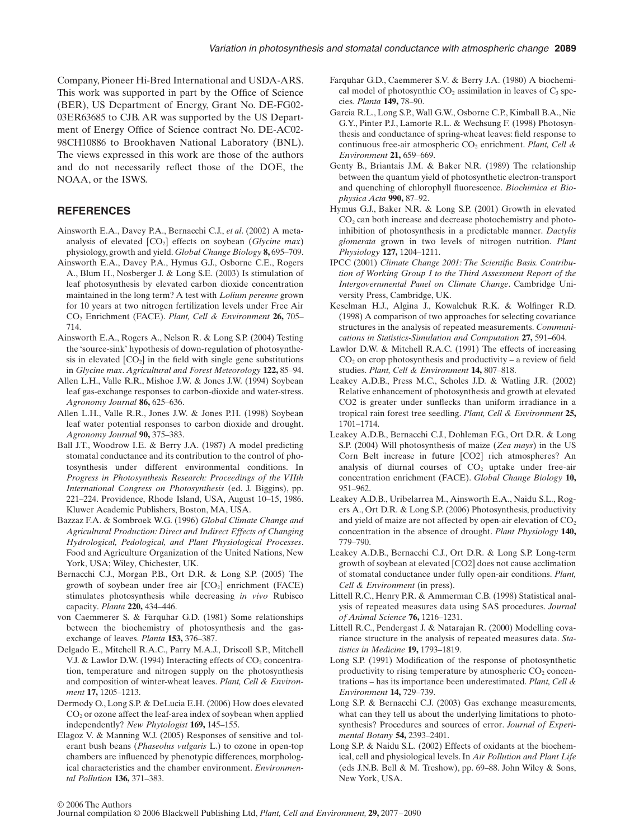Company, Pioneer Hi-Bred International and USDA-ARS. This work was supported in part by the Office of Science (BER), US Department of Energy, Grant No. DE-FG02- 03ER63685 to CJB. AR was supported by the US Department of Energy Office of Science contract No. DE-AC02- 98CH10886 to Brookhaven National Laboratory (BNL). The views expressed in this work are those of the authors and do not necessarily reflect those of the DOE, the NOAA, or the ISWS.

### **REFERENCES**

- Ainsworth E.A., Davey P.A., Bernacchi C.J., *et al*. (2002) A metaanalysis of elevated  $[CO_2]$  effects on soybean  $(Glycine max)$ physiology, growth and yield. *Global Change Biology* **8,** 695–709.
- Ainsworth E.A., Davey P.A., Hymus G.J., Osborne C.E., Rogers A., Blum H., Nosberger J. & Long S.E. (2003) Is stimulation of leaf photosynthesis by elevated carbon dioxide concentration maintained in the long term? A test with *Lolium perenne* grown for 10 years at two nitrogen fertilization levels under Free Air CO2 Enrichment (FACE). *Plant, Cell & Environment* **26,** 705– 714.
- Ainsworth E.A., Rogers A., Nelson R. & Long S.P. (2004) Testing the 'source-sink' hypothesis of down-regulation of photosynthesis in elevated  $[CO_2]$  in the field with single gene substitutions in *Glycine max*. *Agricultural and Forest Meteorology* **122,** 85–94.
- Allen L.H., Valle R.R., Mishoe J.W. & Jones J.W. (1994) Soybean leaf gas-exchange responses to carbon-dioxide and water-stress. *Agronomy Journal* **86,** 625–636.
- Allen L.H., Valle R.R., Jones J.W. & Jones P.H. (1998) Soybean leaf water potential responses to carbon dioxide and drought. *Agronomy Journal* **90,** 375–383.
- Ball J.T., Woodrow I.E. & Berry J.A. (1987) A model predicting stomatal conductance and its contribution to the control of photosynthesis under different environmental conditions. In *Progress in Photosynthesis Research: Proceedings of the VIIth International Congress on Photosynthesis* (ed. J. Biggins), pp. 221–224. Providence, Rhode Island, USA, August 10–15, 1986. Kluwer Academic Publishers, Boston, MA, USA.
- Bazzaz F.A. & Sombroek W.G. (1996) *Global Climate Change and Agricultural Production: Direct and Indirect Effects of Changing Hydrological, Pedological, and Plant Physiological Processes*. Food and Agriculture Organization of the United Nations, New York, USA; Wiley, Chichester, UK.
- Bernacchi C.J., Morgan P.B., Ort D.R. & Long S.P. (2005) The growth of soybean under free air  $[CO<sub>2</sub>]$  enrichment (FACE) stimulates photosynthesis while decreasing *in vivo* Rubisco capacity. *Planta* **220,** 434–446.
- von Caemmerer S. & Farquhar G.D. (1981) Some relationships between the biochemistry of photosynthesis and the gasexchange of leaves. *Planta* **153,** 376–387.
- Delgado E., Mitchell R.A.C., Parry M.A.J., Driscoll S.P., Mitchell V.J. & Lawlor D.W. (1994) Interacting effects of  $CO<sub>2</sub>$  concentration, temperature and nitrogen supply on the photosynthesis and composition of winter-wheat leaves. *Plant, Cell & Environment* **17,** 1205–1213.
- Dermody O., Long S.P. & DeLucia E.H. (2006) How does elevated CO<sub>2</sub> or ozone affect the leaf-area index of soybean when applied independently? *New Phytologist* **169,** 145–155.
- Elagoz V. & Manning W.J. (2005) Responses of sensitive and tolerant bush beans (*Phaseolus vulgaris* L.) to ozone in open-top chambers are influenced by phenotypic differences, morphological characteristics and the chamber environment. *Environmental Pollution* **136,** 371–383.
- Farquhar G.D., Caemmerer S.V. & Berry J.A. (1980) A biochemical model of photosynthic  $CO<sub>2</sub>$  assimilation in leaves of  $C<sub>3</sub>$  species. *Planta* **149,** 78–90.
- Garcia R.L., Long S.P., Wall G.W., Osborne C.P., Kimball B.A., Nie G.Y., Pinter P.J., Lamorte R.L. & Wechsung F. (1998) Photosynthesis and conductance of spring-wheat leaves: field response to continuous free-air atmospheric CO<sub>2</sub> enrichment. *Plant, Cell & Environment* **21,** 659–669.
- Genty B., Briantais J.M. & Baker N.R. (1989) The relationship between the quantum yield of photosynthetic electron-transport and quenching of chlorophyll fluorescence. *Biochimica et Biophysica Acta* **990,** 87–92.
- Hymus G.J., Baker N.R. & Long S.P. (2001) Growth in elevated  $CO<sub>2</sub>$  can both increase and decrease photochemistry and photoinhibition of photosynthesis in a predictable manner. *Dactylis glomerata* grown in two levels of nitrogen nutrition. *Plant Physiology* **127,** 1204–1211.
- IPCC (2001) *Climate Change 2001: The Scientific Basis. Contribution of Working Group I to the Third Assessment Report of the Intergovernmental Panel on Climate Change*. Cambridge University Press, Cambridge, UK.
- Keselman H.J., Algina J., Kowalchuk R.K. & Wolfinger R.D. (1998) A comparison of two approaches for selecting covariance structures in the analysis of repeated measurements. *Communications in Statistics-Simulation and Computation* **27,** 591–604.
- Lawlor D.W. & Mitchell R.A.C. (1991) The effects of increasing  $CO<sub>2</sub>$  on crop photosynthesis and productivity – a review of field studies. *Plant, Cell & Environment* **14,** 807–818.
- Leakey A.D.B., Press M.C., Scholes J.D. & Watling J.R. (2002) Relative enhancement of photosynthesis and growth at elevated CO2 is greater under sunflecks than uniform irradiance in a tropical rain forest tree seedling. *Plant, Cell & Environment* **25,** 1701–1714.
- Leakey A.D.B., Bernacchi C.J., Dohleman F.G., Ort D.R. & Long S.P. (2004) Will photosynthesis of maize (*Zea mays*) in the US Corn Belt increase in future [CO2] rich atmospheres? An analysis of diurnal courses of  $CO<sub>2</sub>$  uptake under free-air concentration enrichment (FACE). *Global Change Biology* **10,** 951–962.
- Leakey A.D.B., Uribelarrea M., Ainsworth E.A., Naidu S.L., Rogers A., Ort D.R. & Long S.P. (2006) Photosynthesis, productivity and yield of maize are not affected by open-air elevation of  $CO<sub>2</sub>$ concentration in the absence of drought. *Plant Physiology* **140,** 779–790.
- Leakey A.D.B., Bernacchi C.J., Ort D.R. & Long S.P. Long-term growth of soybean at elevated [CO2] does not cause acclimation of stomatal conductance under fully open-air conditions. *Plant, Cell & Environment* (in press).
- Littell R.C., Henry P.R. & Ammerman C.B. (1998) Statistical analysis of repeated measures data using SAS procedures. *Journal of Animal Science* **76,** 1216–1231.
- Littell R.C., Pendergast J. & Natarajan R. (2000) Modelling covariance structure in the analysis of repeated measures data. *Statistics in Medicine* **19,** 1793–1819.
- Long S.P. (1991) Modification of the response of photosynthetic productivity to rising temperature by atmospheric  $CO<sub>2</sub>$  concentrations – has its importance been underestimated. *Plant, Cell & Environment* **14,** 729–739.
- Long S.P. & Bernacchi C.J. (2003) Gas exchange measurements, what can they tell us about the underlying limitations to photosynthesis? Procedures and sources of error. *Journal of Experimental Botany* **54,** 2393–2401.
- Long S.P. & Naidu S.L. (2002) Effects of oxidants at the biochemical, cell and physiological levels. In *Air Pollution and Plant Life* (eds J.N.B. Bell & M. Treshow), pp. 69–88. John Wiley & Sons, New York, USA.